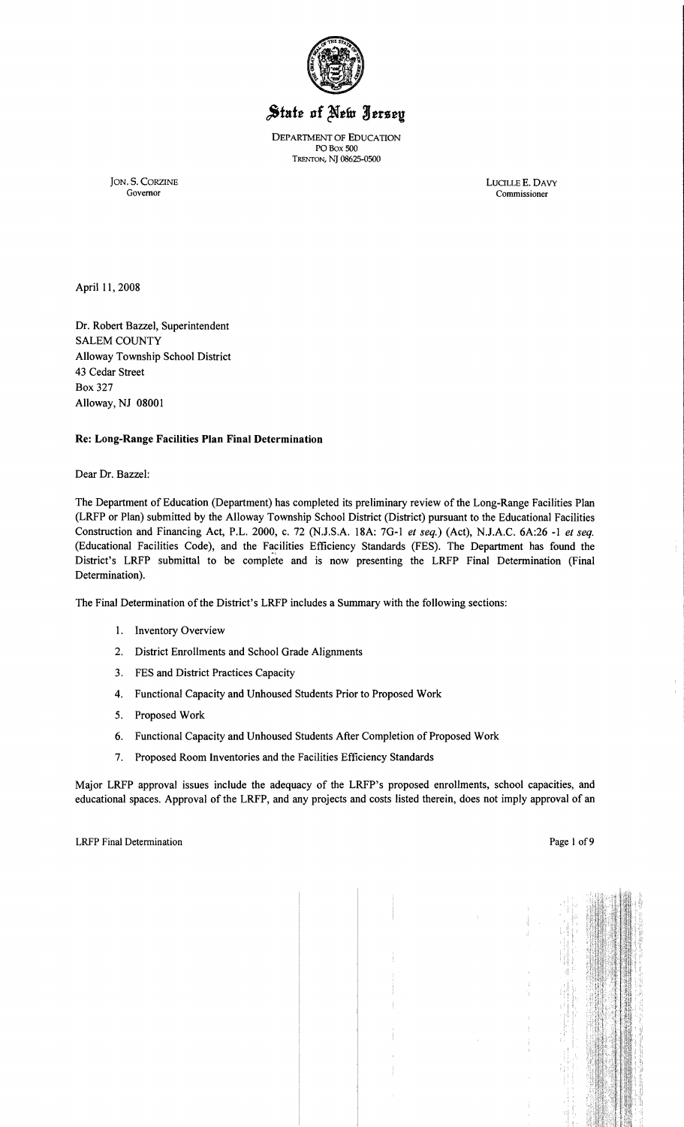

# State of New Jersey

DEPARTMENT OF EDUCATION POBox 500 TRENTON, NJ 08625-0500

JON. S. CORZINE LUCILLE E. DAVY Governor Commissioner

Governor Commissioner

April 11, 2008

Dr. Robert Bazzel, Superintendent SALEM COUNTY Alloway Township School District 43 Cedar Street Box 327 Alloway, NJ 08001

### Re: Long-Range Facilities Plan Final Determination

Dear Dr. Bazzel:

The Department of Education (Department) has completed its preliminary review of the Long-Range Facilities Plan (LRFP or Plan) submitted by the Alloway Township School District (District) pursuant to the Educational Facilities Construction and Financing Act, P.L. 2000, c. 72 (NJ.S.A. I8A: 7G-I *et seq.)* (Act), NJ.A.C. 6A:26 -1 *et seq.*  (Educational Facilities Code), and the Facilities Efficiency Standards (FES). The Department has found the District's LRFP submittal to be complete and is now presenting the LRFP Final Determination (Final Determination).

The Final Determination ofthe District's LRFP includes a Summary with the following sections:

- 1. Inventory Overview
- 2. District Enrollments and School Grade Alignments
- 3. FES and District Practices Capacity
- 4. Functional Capacity and Unhoused Students Prior to Proposed Work
- 5. Proposed Work
- 6. Functional Capacity and Unhoused Students After Completion of Proposed Work
- 7. Proposed Room Inventories and the Facilities Efficiency Standards

Major LRFP approval issues include the adequacy of the LRFP's proposed enrollments, school capacities, and educational spaces. Approval of the LRFP, and any projects and costs listed therein, does not imply approval of an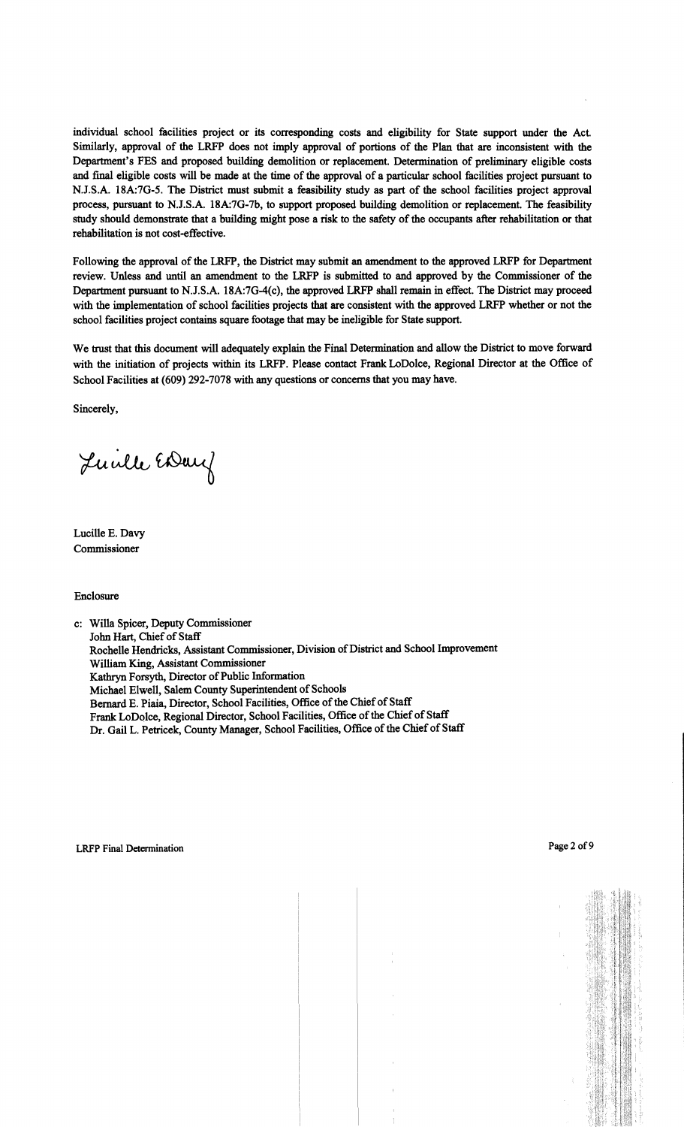individual school facilities project or its corresponding costs and eligibility for State support under the Act. Similarly, approval of the LRFP does not imply approval of portions of the Plan that are inconsistent with the Department's FES and proposed building demolition or replacement. Determination of preliminary eligible costs and fmal eligible costs will be made at the time of the approval of a particular school facilities project pursuant to N.J.S.A. 18A:7G-5. The District must submit a feasibility study as part of the school facilities project approval process, pursuant to N.J.S.A. 18A:7G-7b, to support proposed building demolition or replacement. The feasibility study should demonstrate that a building might pose a risk to the safety of the occupants after rehabilitation or that rehabilitation is not cost-effective.

Following the approval of the LRFP, the District may submit an amendment to the approved LRFP for Department review. Unless and until an amendment to the LRFP is submitted to and approved by the Commissioner of the Department pursuant to N.J.S.A. 18A:7G-4(c), the approved LRFP shall remain in effect. The District may proceed with the implementation of school facilities projects that are consistent with the approved LRFP whether or not the school facilities project contains square footage that may be ineligible for State support.

We trust that this document will adequately explain the Final Determination and allow the District to move forward with the initiation of projects within its LRFP. Please contact Frank LoDolce, Regional Director at the Office of School Facilities at (609) 292-7078 with any questions or concerns that you may have.

Sincerely,

Luille EDary

Lucille E. Davy Commissioner

#### Enclosure

c: Willa Spicer, Deputy Commissioner John Hart, Chief of Staff Rochelle Hendricks, Assistant Commissioner, Division of District and School Improvement William King, Assistant Commissioner Kathryn Forsyth, Director of Public Information Michael Elwell, Salem County Superintendent of Schools Bernard E. Piaia, Director, School Facilities, Office of the Chief of Staff Frank LoDolce, Regional Director, School Facilities, Office of the Chief of Staff Dr. Gail L. Petricek, County Manager, School Facilities, Office of the Chief of Staff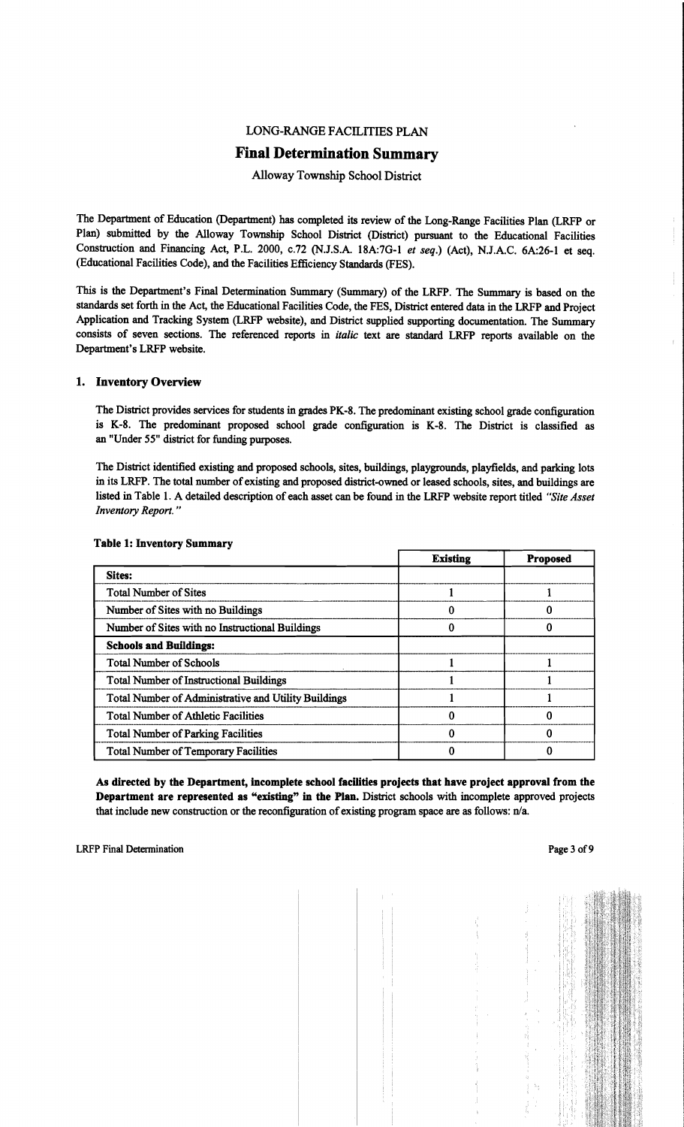# LONG-RANGE FACILITIES PLAN

# Final Determination Summary

## Alloway Township School District

The Department of Education (Department) has completed its review of the Long-Range Facilities Plan (LRFP or Plan) submitted by the Alloway Township School District (District) pursuant to the Educational Facilities Construction and Financing Act, P.L. 2000, c.72 (N.J.S.A. 18A:7G-I *et seq.)* (Act), N.J.A.C. 6A:26-1 et seq. (Educational Facilities Code), and the Facilities Efficiency Standards (FES).

This is the Department's Final Determination Summary (Summary) of the LRFP. The Summary is based on the standards set forth in the Act, the Educational Facilities Code, the FES, District entered data in the LRFP and Project Application and Tracking System (LRFP website), and District supplied supporting documentation. The Summary consists of seven sections. The referenced reports in *italic* text are standard LRFP reports available on the Department's LRFP website.

### 1. Inventory Overview

The District provides services for students in grades PK-8. The predominant existing school grade configuration is K-8. The predominant proposed school grade configuration is K-8. The District is classified as an "Under 55" district for funding purposes.

The District identified existing and proposed schools, sites, buildings, playgrounds, playfields, and parking lots in its LRFP. The total number of existing and proposed district-owned or leased schools, sites, and buildings are listed in Table 1. A detailed description of each asset can be found in the LRFP website report titled "Site Asset *Inventory Report. "* 

|                                                             | <b>Existing</b> | <b>Proposed</b> |
|-------------------------------------------------------------|-----------------|-----------------|
| <b>Sites:</b>                                               |                 |                 |
| <b>Total Number of Sites</b>                                |                 |                 |
| Number of Sites with no Buildings                           |                 |                 |
| Number of Sites with no Instructional Buildings             |                 |                 |
| <b>Schools and Buildings:</b>                               |                 |                 |
| <b>Total Number of Schools</b>                              |                 |                 |
| <b>Total Number of Instructional Buildings</b>              |                 |                 |
| <b>Total Number of Administrative and Utility Buildings</b> |                 |                 |
| <b>Total Number of Athletic Facilities</b>                  |                 |                 |
| <b>Total Number of Parking Facilities</b>                   |                 |                 |
| <b>Total Number of Temporary Facilities</b>                 |                 |                 |

### Table 1: Inventory Summary

As directed by the Department, incomplete school facilities projects that have project approval from the Department are represented as "existing" in the Plan. District schools with incomplete approved projects that include new construction or the reconfiguration of existing program space are as follows:  $n/a$ .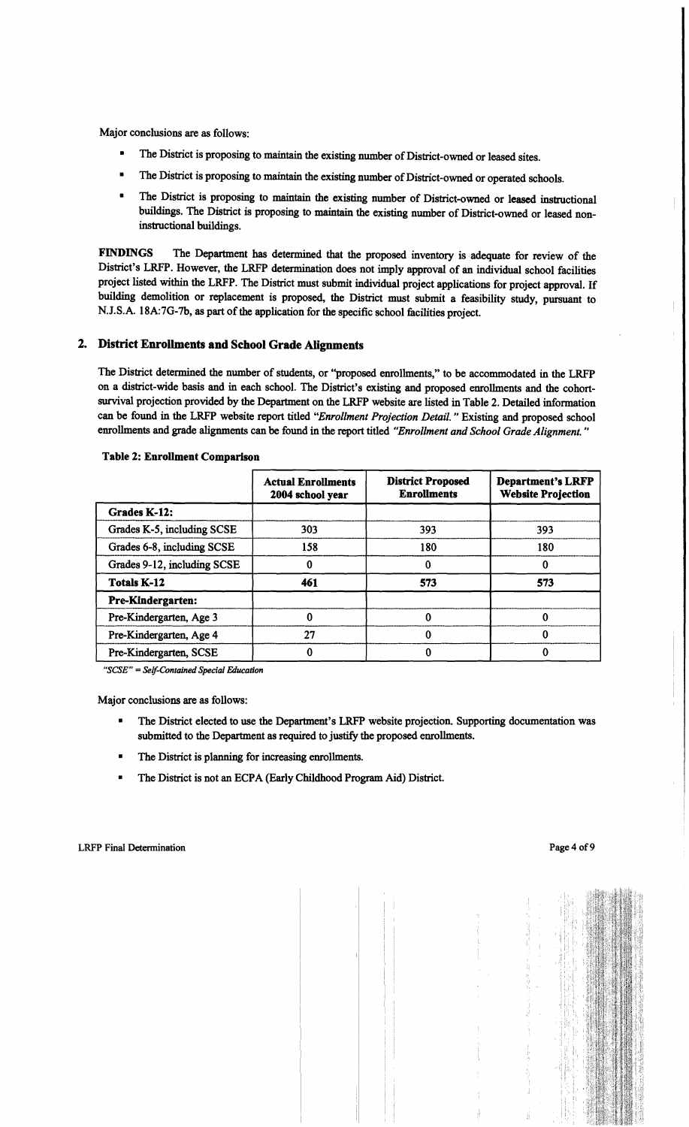Major conclusions are as follows:

- The District is proposing to maintain the existing number of District-owned or leased sites.
- The District is proposing to maintain the existing number of District-owned or operated schools.
- The District is proposing to maintain the existing number of District-owned or leased instructional buildings. The District is proposing to maintain the existing number of District-owned or leased noninstructional buildings.

FINDINGS The Department has determined that the proposed inventory is adequate for review of the District's LRFP. However, the LRFP determination does not imply approval of an individual school facilities project listed within the LRFP. The District must submit individual project applications for project approval. If building demolition or replacement is proposed, the District must submit a feasibility study, pursuant to N.J.S.A. 18A:7G-7b, as part of the application for the specific school facilities project.

# 2. District Enrollments and School Grade Alignments

The District determined the number of students, or ''proposed enrollments," to be accommodated in the LRFP on a district-wide basis and in each school. The District's existing and proposed enrollments and the cohortsurvival projection provided by the Department on the LRFP website are listed in Table 2. Detailed infonnation can be found in the LRFP website report titled "Enrollment Projection Detail." Existing and proposed school enrollments and grade alignments can be found in the report titled *"Enrollment and School Grade Alignment."* 

|                             | <b>Actual Enrollments</b><br>2004 school year | <b>District Proposed</b><br><b>Enrollments</b> | <b>Department's LRFP</b><br><b>Website Projection</b> |
|-----------------------------|-----------------------------------------------|------------------------------------------------|-------------------------------------------------------|
| Grades K-12:                |                                               |                                                |                                                       |
| Grades K-5, including SCSE  | 303                                           | 393                                            | 393                                                   |
| Grades 6-8, including SCSE  | 158                                           | 180                                            | 180                                                   |
| Grades 9-12, including SCSE |                                               |                                                | 0                                                     |
| <b>Totals K-12</b>          | 461                                           | 573                                            | 573                                                   |
| <b>Pre-Kindergarten:</b>    |                                               |                                                |                                                       |
| Pre-Kindergarten, Age 3     |                                               | 0                                              | 0                                                     |
| Pre-Kindergarten, Age 4     | 27                                            | 0                                              | 0                                                     |
| Pre-Kindergarten, SCSE      |                                               |                                                | 0                                                     |

#### Table 2: Enrollment Comparison

*"seSE"* = *Self-Contained Special Education* 

Major conclusions are as follows:

- The District elected to use the Department's LRFP website projection. Supporting documentation was submitted to the Department as required to justify the proposed enrollments.
- The District is planning for increasing enrollments.
- The District is not an ECPA (Early Childhood Program Aid) District.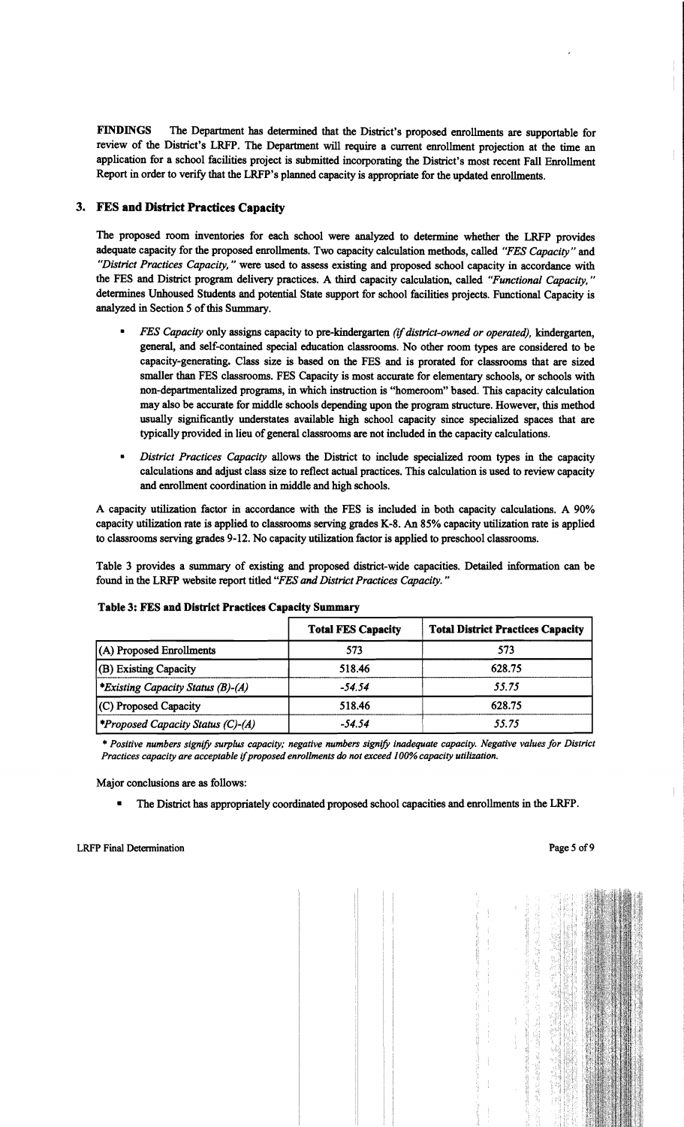FINDINGS The Department has determined that the District's proposed enrollments are supportable for review of the District's LRFP. The Department will require a current enrollment projection at the time an application for a school facilities project is submitted incorporating the District's most recent Fall Enrollment Report in order to verify that the LRFP's planned capacity is appropriate for the updated enrollments.

# 3. FES and District Practices Capacity

The proposed room inventories for each school were analyzed to determine whether the LRFP provides adequate capacity for the proposed enrollments. Two capacity calculation methods, called *"FES Capacity"* and "District Practices Capacity," were used to assess existing and proposed school capacity in accordance with the FES and District program delivery practices. A third capacity calculation, called "Functional Capacity," determines Unhoused Students and potential State support for school facilities projects. Functional Capacity is analyzed in Section 5 of this Summary.

- *FES Capacity* only assigns capacity to pre-kindergarten *(if district-owned or operated),* kindergarten, general, and self-contained special education classrooms. No other room types are considered to be capacity-generating. Class size is based on the FES and is prorated for classrooms that are sized smaller than FES classrooms. FES Capacity is most accurate for elementary schools, or schools with non-departmentalized programs, in which instruction is "homeroom" based. This capacity calculation may also be accurate for middle schools depending upon the program structure. However, this method usually significantly understates available high school capacity since specialized spaces that are typically provided in lieu ofgeneral classrooms are not included in the capacity calculations.
- *• District Practices Capacity* allows the District to include specialized room types in the capacity calculations and adjust class size to reflect actual practices. This calculation is used to review capacity and enrollment coordination in middle and high schools.

A capacity utilization factor in accordance with the FES is included in both capacity calculations. A 90% capacity utilization rate is applied to classrooms serving grades K-8. An 85% capacity utilization rate is applied to classrooms serving grades 9-12. No capacity utilization factor is applied to preschool classrooms.

Table 3 provides a summary of existing and proposed district-wide capacities. Detailed information can be found in the LRFP website report titled *"FES and District Practices Capacity.* <sup>11</sup>

|                                         | <b>Total FES Capacity</b> | <b>Total District Practices Capacity</b> |
|-----------------------------------------|---------------------------|------------------------------------------|
| $(A)$ Proposed Enrollments              | 573                       | 573                                      |
| (B) Existing Capacity                   | 518.46                    | 628.75                                   |
| <i>Existing Capacity Status (B)-(A)</i> | $-54.54$                  | 55.75                                    |
| (C) Proposed Capacity                   | 518.46                    | 628.75                                   |
| <i>Froposed Capacity Status (C)-(A)</i> | $-54.54$                  | 55.75                                    |

### Table 3: FES and District Practices Capacity Summary

\* *Positive numbers signify surplus capacity,· negative numbers signify inadequate capacity. Negative values for District Practices capacity are acceptable* if*proposed enrollments do not exceed 100% capacity utilization.* 

Major conclusions are as follows:

The District has appropriately coordinated proposed school capacities and enrollments in the LRFP.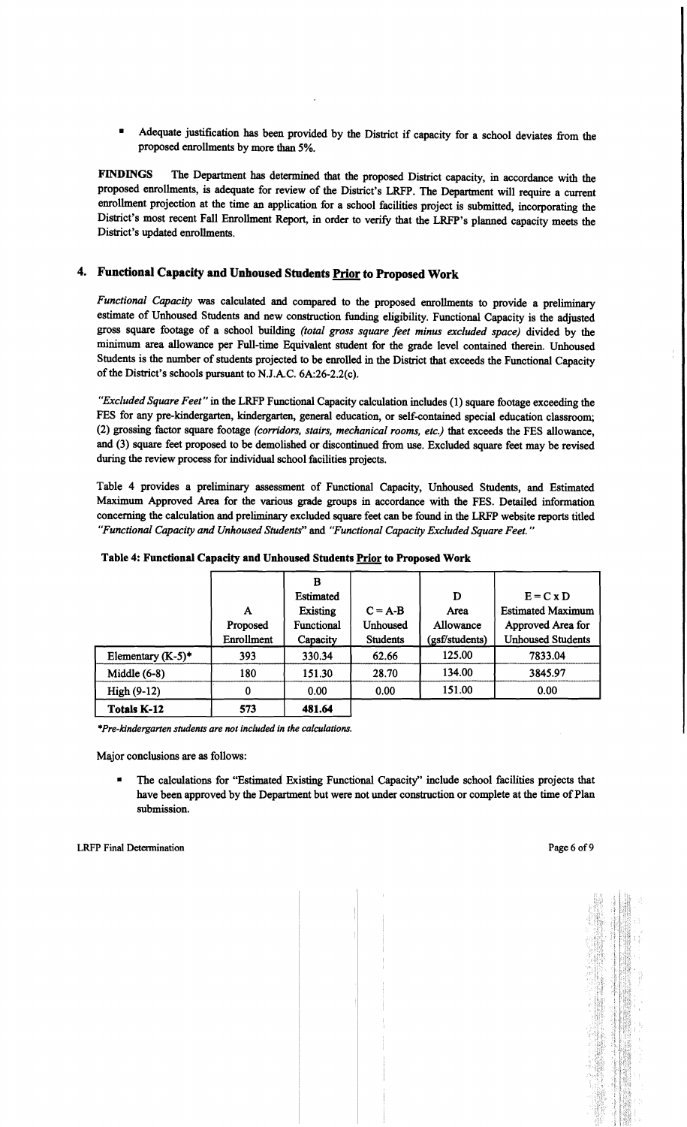Adequate justification has been provided by the District if capacity for a school deviates from the proposed enrollments by more than 5%.

FINDINGS The Department has determined that the proposed District capacity, in accordance with the proposed enrollments, is adequate for review of the District's LRFP. The Department will require a current enrollment projection at the time an application for a school facilities project is submitted, incorporating the District's most recent Fall Enrollment Report, in order to verify that the LRFP's planned capacity meets the District's updated enrollments.

# 4. Functional Capacity and Unhoused Students Prior to Proposed Work

*Functional Capacity* was calculated and compared to the proposed enrollments to provide a preliminary estimate of Unhoused Students and new construction funding eligibility. Functional Capacity is the adjusted gross square footage of a school building *(total gross square feet minus excluded space)* divided by the minimum area allowance per Full-time Equivalent student for the grade level contained therein. Unhoused Students is the number of students projected to be enrolled in the District that exceeds the Functional Capacity of the District's schools pursuant to N.lA.C. 6A:26-2.2(c).

*"Excluded Square Feet"* in the LRFP Functional Capacity calculation includes (1) square footage exceeding the FES for any pre-kindergarten, kindergarten, general education, or self-contained special education classroom; (2) grossing factor square footage *(corridors, stairs, mechanical rooms, etc.)* that exceeds the FES allowance, and (3) square feet proposed to be demolished or discontinued from use. Excluded square feet may be revised during the review process for individual school facilities projects.

Table 4 provides a preliminary assessment of Functional Capacity, Unhoused Students, and Estimated Maximum Approved Area for the various grade groups in accordance with the FES. Detailed information concerning the calculation and preliminary excluded square feet can be found in the LRFP website reports titled *"Functional Capacity and Unhoused Students"* and *"Functional Capacity Excluded Square Feet. "* 

|                      |            | B                |                 |                |                          |
|----------------------|------------|------------------|-----------------|----------------|--------------------------|
|                      |            | <b>Estimated</b> |                 | D              | $E = C x D$              |
|                      | A          | Existing         | $C = A-B$       | Area           | <b>Estimated Maximum</b> |
|                      | Proposed   | Functional       | <b>Unhoused</b> | Allowance      | Approved Area for        |
|                      | Enrollment | Capacity         | <b>Students</b> | (gsf/students) | <b>Unhoused Students</b> |
| Elementary $(K-5)^*$ | 393        | 330.34           | 62.66           | 125.00         | 7833.04                  |
| Middle $(6-8)$       | 180        | 151.30           | 28.70           | 134.00         | 3845.97                  |
| High (9-12)          | 0          | 0.00             | 0.00            | 151.00         | 0.00                     |
| <b>Totals K-12</b>   | 573        | 481.64           |                 |                |                          |

Table 4: Functional Capacity and Unhoused Students Prior to Proposed Work

*\*Pre-Idndergarten students are not included in the calculations.* 

Major conclusions are as follows:

• The calculations for "Estimated Existing Functional Capacity" include school facilities projects that have been approved by the Department but were not under construction or complete at the time of Plan submission.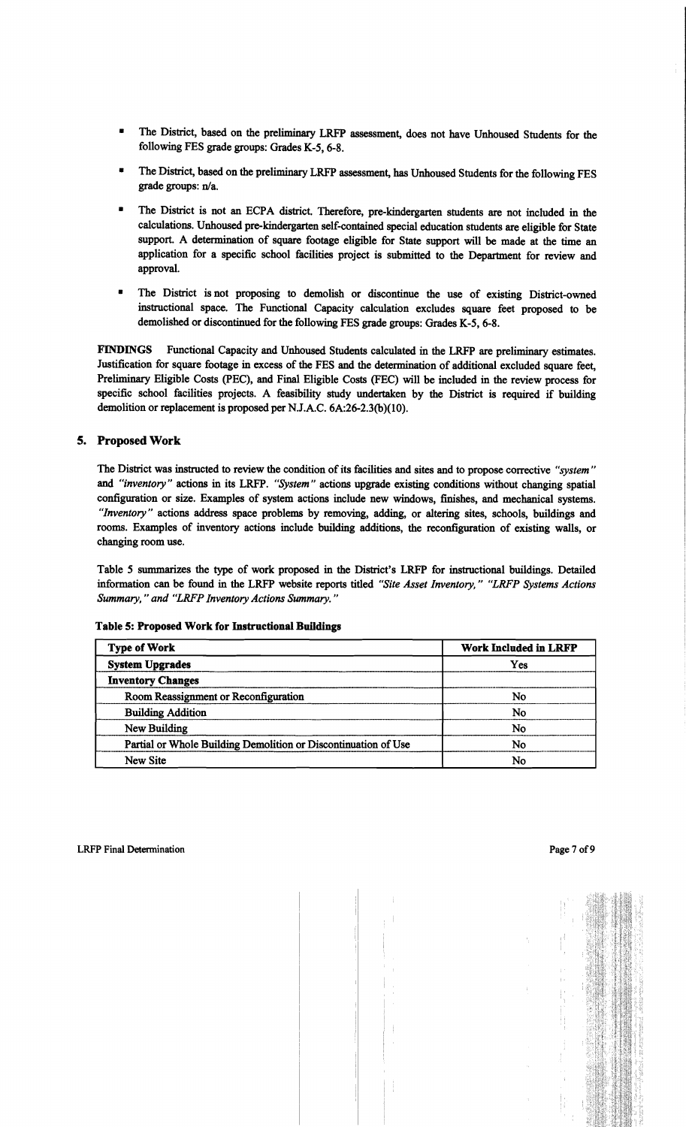- The District, based on the preliminary LRFP assessment, does not have Unhoused Students for the following FES grade groups: Grades K-5, 6-8.
- The District, based on the preliminary LRFP assessment, has Unhoused Students for the following FES grade groups: n/a.
- The District is not an ECPA district. Therefore, pre-kindergarten students are not included in the calculations. Unhoused pre-kindergarten self-contained special education students are eligible for State support. A determination of square footage eligible for State support will be made at the time an application for a specific school facilities project is submitted to the Department for review and approval.
- The District is not proposing to demolish or discontinue the use of existing District-owned instructional space. The Functional Capacity calculation excludes square feet proposed to be demolished or discontinued for the following FES grade groups: Grades K-5, 6-8.

FINDINGS Functional Capacity and Unhoused Students calculated in the LRFP are preliminary estimates. Justification for square footage in excess of the FES and the determination of additional excluded square feet, Preliminary Eligible Costs (PEC), and Final Eligible Costs (FEC) will be included in the review process for specific school facilities projects. A feasibility study undertaken by the District is required if building demolition or replacement is proposed per NJ.A.C. 6A:26-2.3(b)(10).

# s. Proposed Work

The District was instructed to review the condition of its facilities and sites and to propose corrective *"system"*  and *"inventory"* actions in its LRFP. *"System"* actions upgrade existing conditions without changing spatial configuration or size. Examples of system actions include new windows, finishes, and mechanical systems. *"Inventory"* actions address space problems by removing, adding, or altering sites, schools, buildings and rooms. Examples of inventory actions include building additions, the reconfiguration of existing walls, or changing room use.

Table 5 summarizes the type of work proposed in the District's LRFP for instructional buildings. Detailed information can be found in the LRFP website reports titled *"Site Asset Inventory," "LRFP Systems Actions Summary,* " *and "LRFP Inventory Actions Summary. "* 

| <b>Type of Work</b>                                            | <b>Work Included in LRFP</b> |  |  |
|----------------------------------------------------------------|------------------------------|--|--|
| <b>System Upgrades</b>                                         | Yes                          |  |  |
| <b>Inventory Changes</b>                                       |                              |  |  |
| Room Reassignment or Reconfiguration                           | No                           |  |  |
| <b>Building Addition</b>                                       | No                           |  |  |
| New Building                                                   | No                           |  |  |
| Partial or Whole Building Demolition or Discontinuation of Use | No                           |  |  |
| New Site                                                       | No                           |  |  |

### Table S: Proposed Work for Instructional Buildings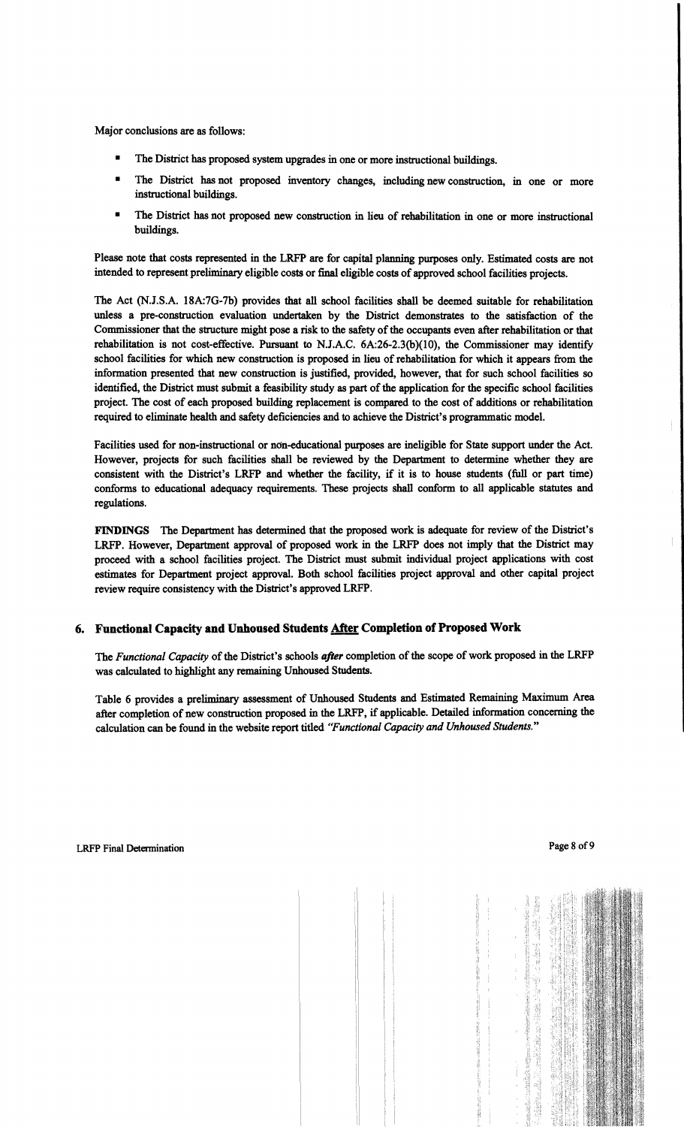Major conclusions are as follows:

- The District has proposed system upgrades in one or more instructional buildings.
- The District has not proposed inventory changes, including new construction, in one or more instructional buildings.
- The District has not proposed new construction in lieu of rehabilitation in one or more instructional buildings.

Please note that costs represented in the LRFP are for capital planning purposes only. Estimated costs are not intended to represent preliminary eligible costs or final eligible costs of approved school facilities projects.

The Act (N.J.S.A. 18A:7G-7b) provides that all school facilities shall be deemed suitable for rehabilitation unless a pre-construction evaluation undertaken by the District demonstrates to the satisfaction of the Commissioner that the structure might pose a risk to the safety of the occupants even after rehabilitation or that rehabilitation is not cost-effective. Pursuant to N.J.A.C. 6A:26-2.3(b)(10), the Commissioner may identify school facilities for which new construction is proposed in lieu of rehabilitation for which it appears from the information presented that new construction is justified, provided, however, that for such school facilities so identified, the District must submit a feasibility study as part of the application for the specific school facilities project. The cost of each proposed building replacement is compared to the cost of additions or rehabilitation required to eliminate health and safety deficiencies and to achieve the District's programmatic model.

Facilities used for non-instructional or non-educational purposes are ineligible for State support under the Act. However, projects for such facilities shall be reviewed by the Department to determine whether they are consistent with the District's LRFP and whether the facility, if it is to house students (full or part time) conforms to educational adequacy requirements. These projects shall conform to all applicable statutes and regulations.

FINDINGS The Department has determined that the proposed work is adequate for review of the District's LRFP. However, Department approval of proposed work in the LRFP does not imply that the District may proceed with a school facilities project. The District must submit individual project applications with cost estimates for Department project approval. Both school facilities project approval and other capital project review require consistency with the District's approved LRFP.

# 6. Functional Capacity and Unhoused Students After Completion of Proposed Work

The *Functional Capacity* of the District's schools *after* completion of the scope of work proposed in the LRFP was calculated to highlight any remaining Unhoused Students.

Table 6 provides a preliminary assessment of Unhoused Students and Estimated Remaining Maximum Area after completion of new construction proposed in the LRFP, if applicable. Detailed information concerning the calculation can be found in the website report titled *"Functional Capacity and Unhoused Students."*